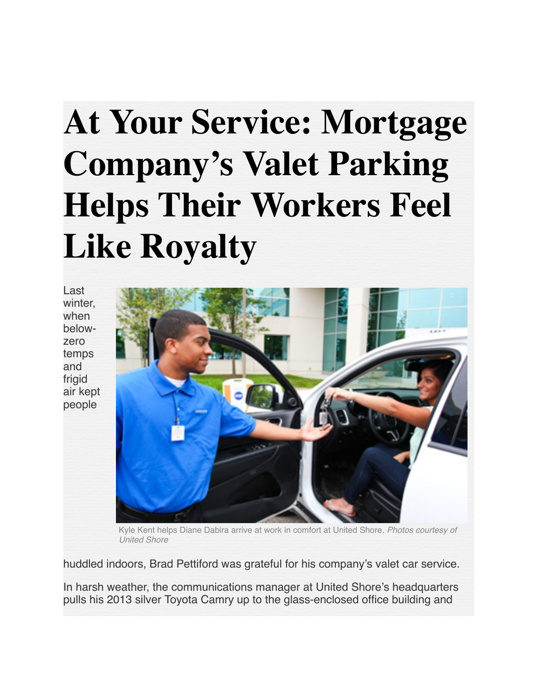## **At Your Service: Mortgage Company's Valet Parking Helps Their Workers Feel Like Royalty**

Last winter, when belowzero temps and frigid air kept people



Kyle Kent helps Diane Dabira arrive at work in comfort at United Shore. *Photos courtesy of United Shore*

huddled indoors, Brad Pettiford was grateful for his company's valet car service.

In harsh weather, the communications manager at United Shore's headquarters pulls his 2013 silver Toyota Camry up to the glass-enclosed office building and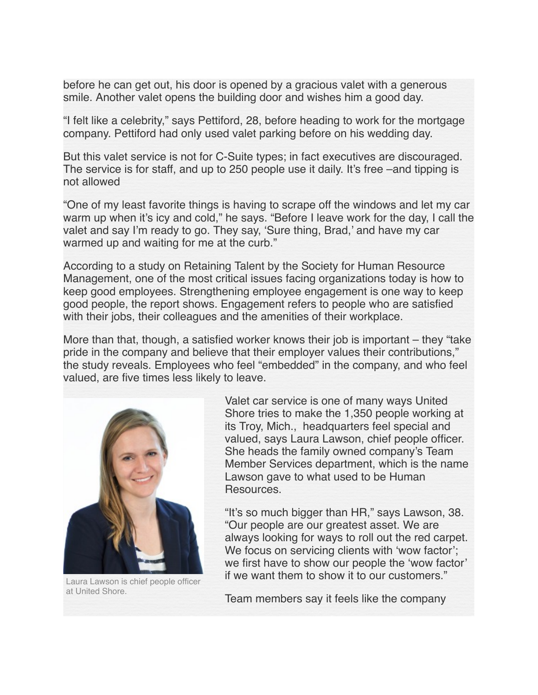before he can get out, his door is opened by a gracious valet with a generous smile. Another valet opens the building door and wishes him a good day.

"I felt like a celebrity," says Pettiford, 28, before heading to work for the mortgage company. Pettiford had only used valet parking before on his wedding day.

But this valet service is not for C-Suite types; in fact executives are discouraged. The service is for staff, and up to 250 people use it daily. It's free –and tipping is not allowed

"One of my least favorite things is having to scrape off the windows and let my car warm up when it's icy and cold," he says. "Before I leave work for the day, I call the valet and say I'm ready to go. They say, 'Sure thing, Brad,' and have my car warmed up and waiting for me at the curb."

According to a study on Retaining Talent by the Society for Human Resource Management, one of the most critical issues facing organizations today is how to keep good employees. Strengthening employee engagement is one way to keep good people, the report shows. Engagement refers to people who are satisfied with their jobs, their colleagues and the amenities of their workplace.

More than that, though, a satisfied worker knows their job is important – they "take pride in the company and believe that their employer values their contributions," the study reveals. Employees who feel "embedded" in the company, and who feel valued, are five times less likely to leave.



Laura Lawson is chief people officer at United Shore.

Valet car service is one of many ways United Shore tries to make the 1,350 people working at its Troy, Mich., headquarters feel special and valued, says Laura Lawson, chief people officer. She heads the family owned company's Team Member Services department, which is the name Lawson gave to what used to be Human Resources.

"It's so much bigger than HR," says Lawson, 38. "Our people are our greatest asset. We are always looking for ways to roll out the red carpet. We focus on servicing clients with 'wow factor'; we first have to show our people the 'wow factor' if we want them to show it to our customers."

Team members say it feels like the company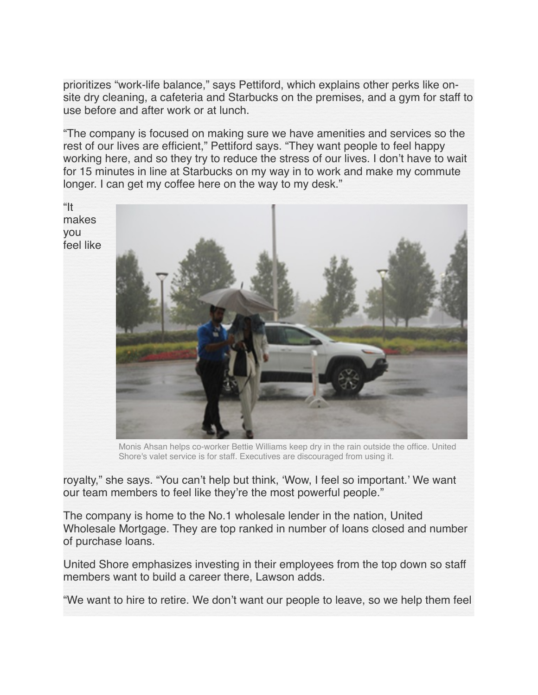prioritizes "work-life balance," says Pettiford, which explains other perks like onsite dry cleaning, a cafeteria and Starbucks on the premises, and a gym for staff to use before and after work or at lunch.

"The company is focused on making sure we have amenities and services so the rest of our lives are efficient," Pettiford says. "They want people to feel happy working here, and so they try to reduce the stress of our lives. I don't have to wait for 15 minutes in line at Starbucks on my way in to work and make my commute longer. I can get my coffee here on the way to my desk."

"It makes you feel like



Monis Ahsan helps co-worker Bettie Williams keep dry in the rain outside the office. United Shore's valet service is for staff. Executives are discouraged from using it.

royalty," she says. "You can't help but think, 'Wow, I feel so important.' We want our team members to feel like they're the most powerful people."

The company is home to the No.1 wholesale lender in the nation, United Wholesale Mortgage. They are top ranked in number of loans closed and number of purchase loans.

United Shore emphasizes investing in their employees from the top down so staff members want to build a career there, Lawson adds.

"We want to hire to retire. We don't want our people to leave, so we help them feel